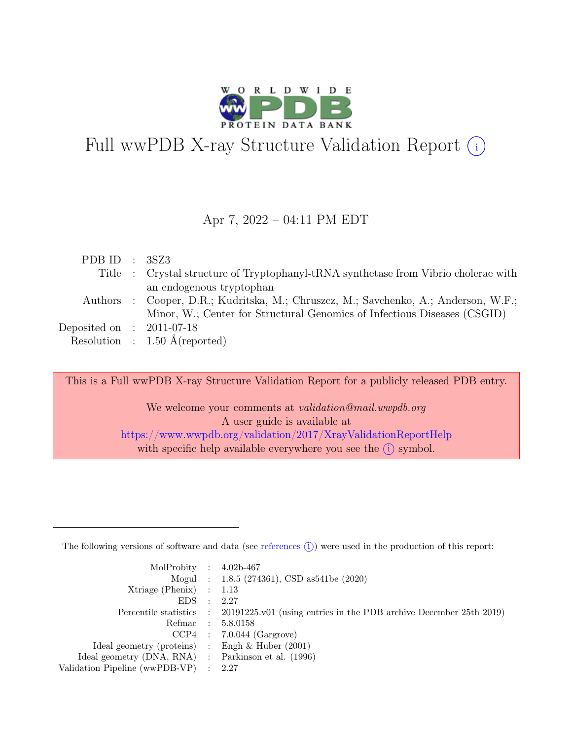

# Full wwPDB X-ray Structure Validation Report  $\bigcirc$

#### Apr 7, 2022 – 04:11 PM EDT

| PDB ID : $3SZ3$             |                                                                                     |
|-----------------------------|-------------------------------------------------------------------------------------|
|                             | Title : Crystal structure of Tryptophanyl-tRNA synthetise from Vibrio cholerae with |
|                             | an endogenous tryptophan                                                            |
|                             | Authors : Cooper, D.R.; Kudritska, M.; Chruszcz, M.; Savchenko, A.; Anderson, W.F.; |
|                             | Minor, W.; Center for Structural Genomics of Infectious Diseases (CSGID)            |
| Deposited on : $2011-07-18$ |                                                                                     |
|                             | Resolution : $1.50 \text{ Å}$ (reported)                                            |

This is a Full wwPDB X-ray Structure Validation Report for a publicly released PDB entry.

We welcome your comments at validation@mail.wwpdb.org A user guide is available at <https://www.wwpdb.org/validation/2017/XrayValidationReportHelp> with specific help available everywhere you see the  $(i)$  symbol.

The following versions of software and data (see [references](https://www.wwpdb.org/validation/2017/XrayValidationReportHelp#references)  $(i)$ ) were used in the production of this report:

| MolProbity : $4.02b-467$                            |                |                                                                                            |
|-----------------------------------------------------|----------------|--------------------------------------------------------------------------------------------|
|                                                     |                | Mogul : 1.8.5 (274361), CSD as 541be (2020)                                                |
| $Xtriangle (Phenix)$ : 1.13                         |                |                                                                                            |
| EDS                                                 | $\mathbb{R}^2$ | - 2.27                                                                                     |
|                                                     |                | Percentile statistics : 20191225.v01 (using entries in the PDB archive December 25th 2019) |
|                                                     |                | Refmac : 5.8.0158                                                                          |
|                                                     |                | $CCP4$ : 7.0.044 (Gargrove)                                                                |
| Ideal geometry (proteins) : Engh $\&$ Huber (2001)  |                |                                                                                            |
| Ideal geometry (DNA, RNA) : Parkinson et al. (1996) |                |                                                                                            |
| Validation Pipeline (wwPDB-VP) : 2.27               |                |                                                                                            |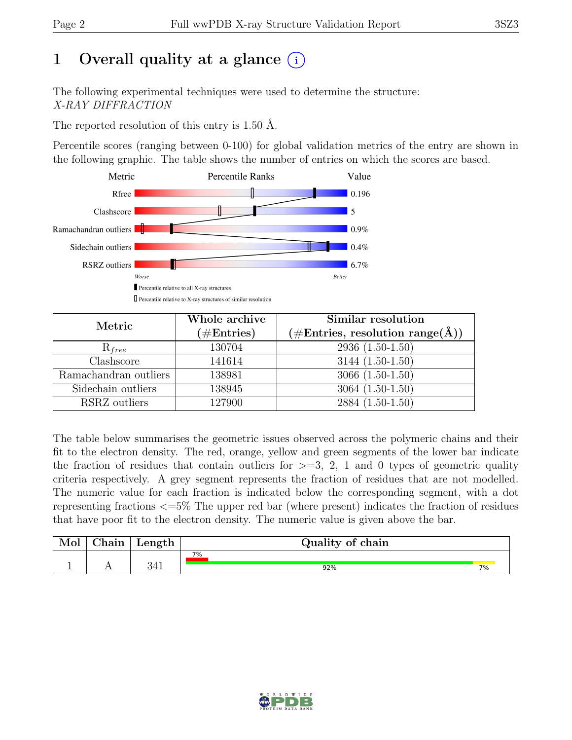# 1 Overall quality at a glance  $(i)$

The following experimental techniques were used to determine the structure: X-RAY DIFFRACTION

The reported resolution of this entry is 1.50 Å.

Percentile scores (ranging between 0-100) for global validation metrics of the entry are shown in the following graphic. The table shows the number of entries on which the scores are based.



| Metric                | Whole archive<br>$(\#Entries)$ | Similar resolution<br>$(\# \text{Entries}, \text{ resolution range}(\AA))$ |
|-----------------------|--------------------------------|----------------------------------------------------------------------------|
| $\mathrm{R}_{free}$   | 130704                         | $2936(1.50-1.50)$                                                          |
| Clashscore            | 141614                         | $3144(1.50-1.50)$                                                          |
| Ramachandran outliers | 138981                         | $3066(1.50-1.50)$                                                          |
| Sidechain outliers    | 138945                         | $3064(1.50-1.50)$                                                          |
| RSRZ outliers         | 127900                         | 2884 (1.50-1.50)                                                           |

The table below summarises the geometric issues observed across the polymeric chains and their fit to the electron density. The red, orange, yellow and green segments of the lower bar indicate the fraction of residues that contain outliers for  $\geq$ =3, 2, 1 and 0 types of geometric quality criteria respectively. A grey segment represents the fraction of residues that are not modelled. The numeric value for each fraction is indicated below the corresponding segment, with a dot representing fractions <=5% The upper red bar (where present) indicates the fraction of residues that have poor fit to the electron density. The numeric value is given above the bar.

| Mol      | $\gamma$ hain | Length | Quality of chain |    |
|----------|---------------|--------|------------------|----|
| <b>.</b> |               | ∩ ⊿ ∹  | $7\%$<br>92%     | 7% |

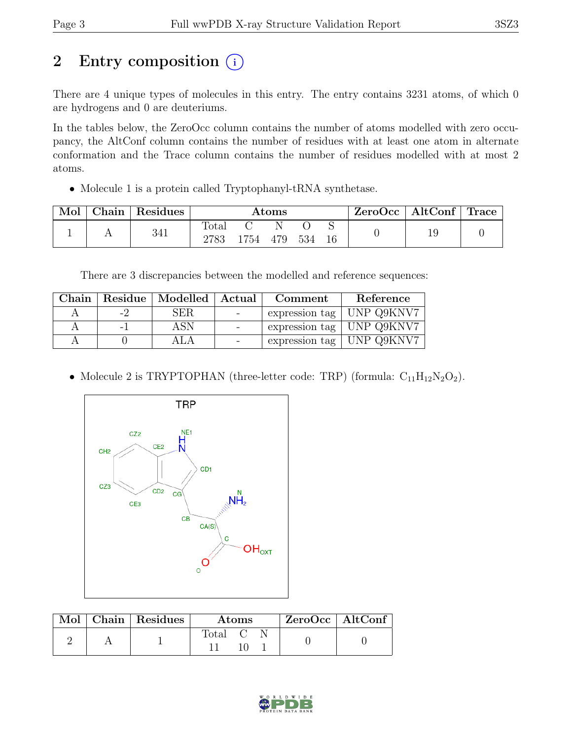# 2 Entry composition  $(i)$

There are 4 unique types of molecules in this entry. The entry contains 3231 atoms, of which 0 are hydrogens and 0 are deuteriums.

In the tables below, the ZeroOcc column contains the number of atoms modelled with zero occupancy, the AltConf column contains the number of residues with at least one atom in alternate conformation and the Trace column contains the number of residues modelled with at most 2 atoms.

• Molecule 1 is a protein called Tryptophanyl-tRNA synthetase.

| Mol | ⊤ Chain <sup>+</sup> | Residues | Atoms         |          |   | $\text{ZeroOcc}$   AltConf   Trace |  |  |  |
|-----|----------------------|----------|---------------|----------|---|------------------------------------|--|--|--|
|     |                      | 341      | Total<br>2783 | 1754 479 | N | 534                                |  |  |  |

There are 3 discrepancies between the modelled and reference sequences:

|     | Chain   Residue   Modelled   Actual | Comment | Reference                         |
|-----|-------------------------------------|---------|-----------------------------------|
| -7  | SER.                                |         | expression tag $\vert$ UNP Q9KNV7 |
| - 1 | ASN.                                |         | expression tag   UNP Q9KNV7       |
|     |                                     |         | expression tag   UNP Q9KNV7       |

• Molecule 2 is TRYPTOPHAN (three-letter code: TRP) (formula:  $C_{11}H_{12}N_2O_2$ ).



|  | $\blacksquare$ Mol $\vert$ Chain $\vert$ Residues $\vert$ | Atoms   |  |  | ZeroOcc   AltConf |  |
|--|-----------------------------------------------------------|---------|--|--|-------------------|--|
|  |                                                           | Total C |  |  |                   |  |

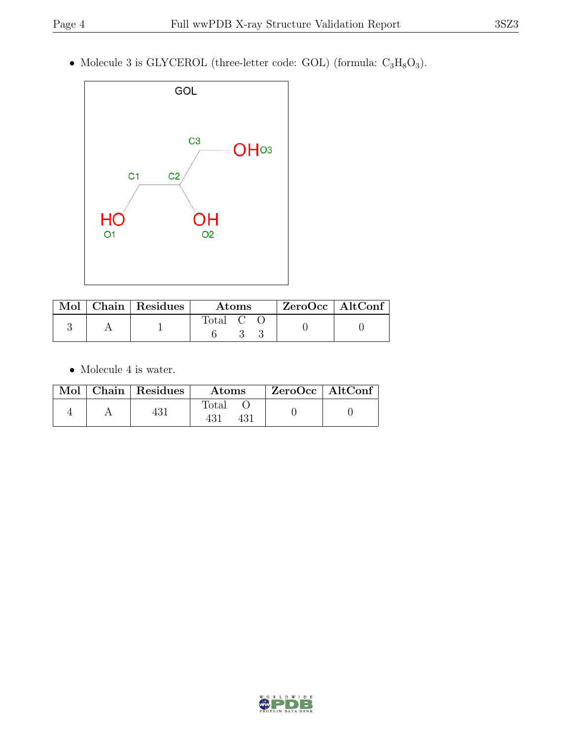• Molecule 3 is GLYCEROL (three-letter code: GOL) (formula:  $C_3H_8O_3$ ).



|  | Mol   Chain   Residues | Atoms        | $ZeroOcc$   AltConf |
|--|------------------------|--------------|---------------------|
|  |                        | <b>Total</b> |                     |

 $\bullet\,$  Molecule 4 is water.

|  | $\text{Mol}$   Chain   Residues | <b>Atoms</b> | ZeroOcc   AltConf |  |
|--|---------------------------------|--------------|-------------------|--|
|  |                                 | Total        |                   |  |

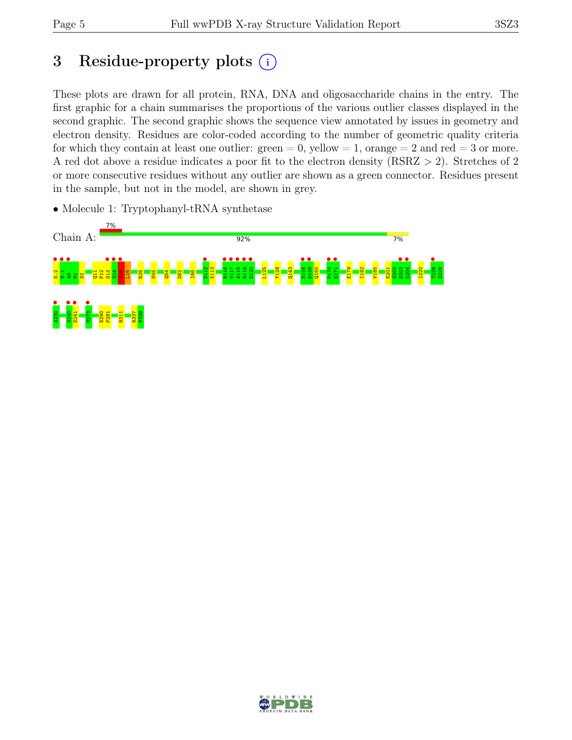# 3 Residue-property plots  $(i)$

These plots are drawn for all protein, RNA, DNA and oligosaccharide chains in the entry. The first graphic for a chain summarises the proportions of the various outlier classes displayed in the second graphic. The second graphic shows the sequence view annotated by issues in geometry and electron density. Residues are color-coded according to the number of geometric quality criteria for which they contain at least one outlier:  $green = 0$ , yellow  $= 1$ , orange  $= 2$  and red  $= 3$  or more. A red dot above a residue indicates a poor fit to the electron density (RSRZ > 2). Stretches of 2 or more consecutive residues without any outlier are shown as a green connector. Residues present in the sample, but not in the model, are shown in grey.

• Molecule 1: Tryptophanyl-tRNA synthetase



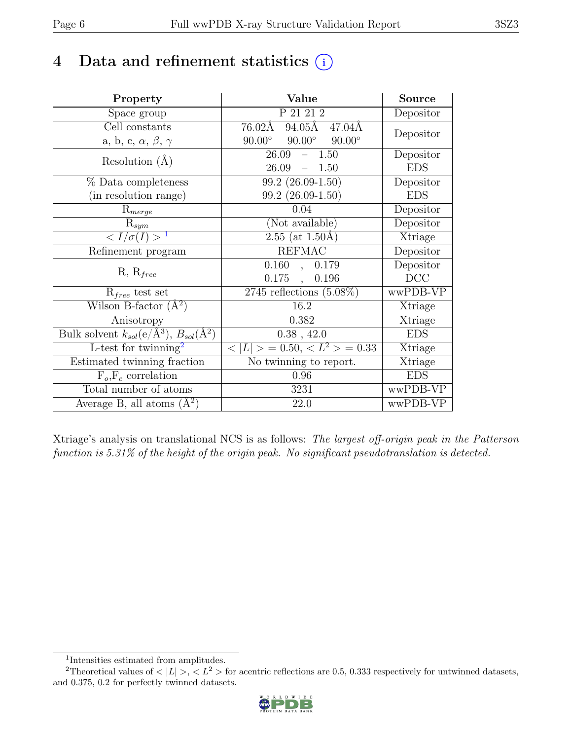# 4 Data and refinement statistics  $(i)$

| Property                                                         | Value                                                       | <b>Source</b> |
|------------------------------------------------------------------|-------------------------------------------------------------|---------------|
| Space group                                                      | $P\overline{21\ 21\ 2}$                                     | Depositor     |
| Cell constants                                                   | $94.05\text{\AA}$<br>$76.02\text{\AA}$<br>$47.04\text{\AA}$ | Depositor     |
| a, b, c, $\alpha$ , $\beta$ , $\gamma$                           | $90.00^\circ$<br>$90.00^\circ$<br>$90.00^\circ$             |               |
| Resolution $(A)$                                                 | 26.09<br>1.50<br>$\equiv$                                   | Depositor     |
|                                                                  | 26.09<br>$-1.50$                                            | <b>EDS</b>    |
| $%$ Data completeness                                            | $99.2(26.09-1.50)$                                          | Depositor     |
| (in resolution range)                                            | 99.2 (26.09-1.50)                                           | <b>EDS</b>    |
| $R_{merge}$                                                      | 0.04                                                        | Depositor     |
| $\mathrm{R}_{sym}$                                               | (Not available)                                             | Depositor     |
| $\langle I/\sigma(I) \rangle$ <sup>1</sup>                       | $2.55$ (at 1.50Å)                                           | Xtriage       |
| Refinement program                                               | <b>REFMAC</b>                                               | Depositor     |
| $R, R_{free}$                                                    | 0.160<br>0.179<br>$\ddot{\phantom{0}}$                      | Depositor     |
|                                                                  | $0.175$ ,<br>0.196                                          | DCC           |
| $R_{free}$ test set                                              | $2745$ reflections $(5.08\%)$                               | wwPDB-VP      |
| Wilson B-factor $(A^2)$                                          | 16.2                                                        | Xtriage       |
| Anisotropy                                                       | 0.382                                                       | Xtriage       |
| Bulk solvent $k_{sol}(\text{e}/\text{A}^3), B_{sol}(\text{A}^2)$ | $0.38$ , 42.0                                               | <b>EDS</b>    |
| L-test for $\overline{\text{twinning}}^2$                        | $< L >$ = 0.50, $< L^2 >$ = 0.33                            | Xtriage       |
| Estimated twinning fraction                                      | $\overline{\text{No}}$ twinning to report.                  | Xtriage       |
| $F_o, F_c$ correlation                                           | 0.96                                                        | <b>EDS</b>    |
| Total number of atoms                                            | 3231                                                        | wwPDB-VP      |
| Average B, all atoms $(A^2)$                                     | 22.0                                                        | wwPDB-VP      |

Xtriage's analysis on translational NCS is as follows: The largest off-origin peak in the Patterson function is 5.31% of the height of the origin peak. No significant pseudotranslation is detected.

<sup>&</sup>lt;sup>2</sup>Theoretical values of  $\langle |L| \rangle$ ,  $\langle L^2 \rangle$  for acentric reflections are 0.5, 0.333 respectively for untwinned datasets, and 0.375, 0.2 for perfectly twinned datasets.



<span id="page-5-1"></span><span id="page-5-0"></span><sup>1</sup> Intensities estimated from amplitudes.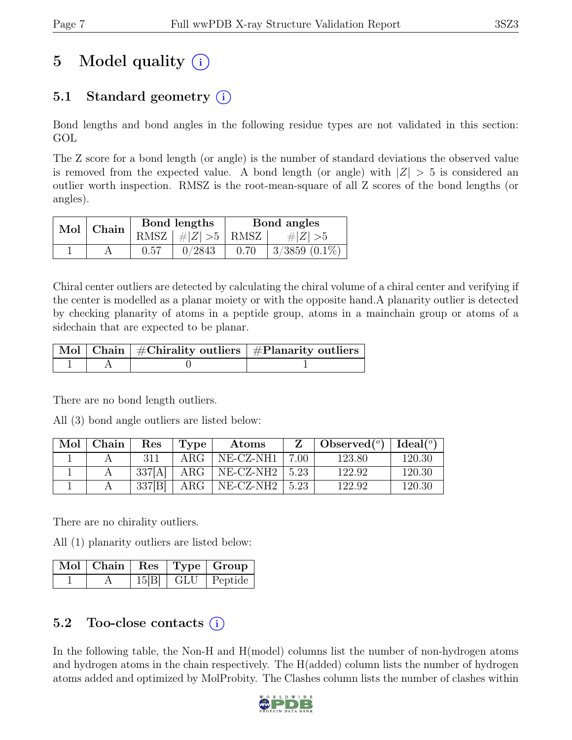# 5 Model quality  $(i)$

## 5.1 Standard geometry  $(i)$

Bond lengths and bond angles in the following residue types are not validated in this section: GOL

The Z score for a bond length (or angle) is the number of standard deviations the observed value is removed from the expected value. A bond length (or angle) with  $|Z| > 5$  is considered an outlier worth inspection. RMSZ is the root-mean-square of all Z scores of the bond lengths (or angles).

| $Mol$   Chain |      | Bond lengths                  | Bond angles |                    |  |
|---------------|------|-------------------------------|-------------|--------------------|--|
|               |      | RMSZ $ $ # $ Z $ > $5$   RMSZ |             | $\# Z  > 5$        |  |
|               | 0.57 | 0/2843                        | 0.70        | $3/3859$ $(0.1\%)$ |  |

Chiral center outliers are detected by calculating the chiral volume of a chiral center and verifying if the center is modelled as a planar moiety or with the opposite hand.A planarity outlier is detected by checking planarity of atoms in a peptide group, atoms in a mainchain group or atoms of a sidechain that are expected to be planar.

|  | $\lceil$ Mol $\lceil$ Chain $\rceil$ #Chirality outliers $\rceil$ #Planarity outliers $\rceil$ |
|--|------------------------------------------------------------------------------------------------|
|  |                                                                                                |

There are no bond length outliers.

All (3) bond angle outliers are listed below:

| Mol | Chain | $\operatorname{Res}% \left( \mathcal{N}\right) \equiv\operatorname{Res}(\mathcal{N}_{0})\cap\mathcal{N}_{1}$ | Type       | Atoms               |      | $\bullet$ Observed $({}^o)$   Ideal $({}^o)$ |        |
|-----|-------|--------------------------------------------------------------------------------------------------------------|------------|---------------------|------|----------------------------------------------|--------|
|     |       | 311                                                                                                          | ARG-       | NE-CZ-NH1           | 7.00 | 123.80                                       | 120.30 |
|     |       | - 337[A]                                                                                                     | $\rm{ARG}$ | $NE- CZ-NH2$   5.23 |      | 122.92                                       | 120.30 |
|     |       | 337[B]                                                                                                       | $\rm{ARG}$ | $NE- CZ-NH2$        | 5.23 | 122.92                                       | 120.30 |

There are no chirality outliers.

All (1) planarity outliers are listed below:

|  |  | $\vert$ Mol $\vert$ Chain $\vert$ Res $\vert$ Type $\vert$ Group $\vert$ |
|--|--|--------------------------------------------------------------------------|
|  |  | $15[B]$ GLU Peptide                                                      |

### 5.2 Too-close contacts  $(i)$

In the following table, the Non-H and H(model) columns list the number of non-hydrogen atoms and hydrogen atoms in the chain respectively. The H(added) column lists the number of hydrogen atoms added and optimized by MolProbity. The Clashes column lists the number of clashes within

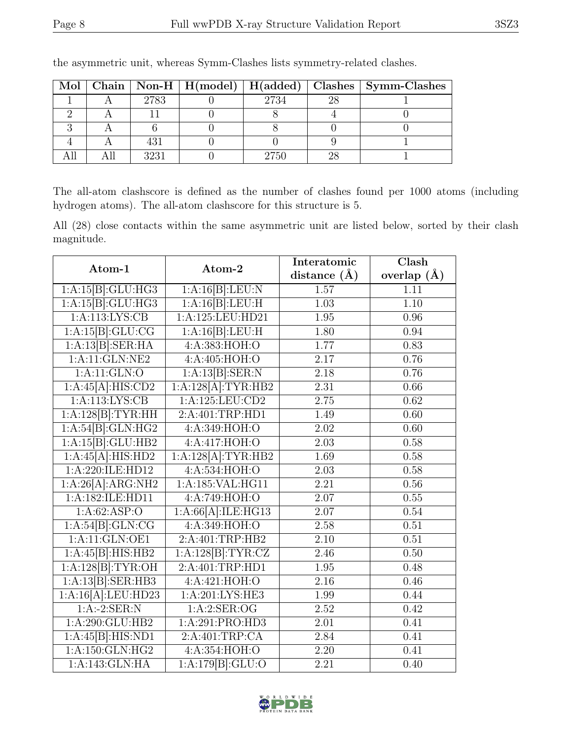|  |      |      |     | Mol   Chain   Non-H   H(model)   H(added)   Clashes   Symm-Clashes |
|--|------|------|-----|--------------------------------------------------------------------|
|  | 2783 | 2734 | -98 |                                                                    |
|  |      |      |     |                                                                    |
|  |      |      |     |                                                                    |
|  | 431  |      |     |                                                                    |
|  | 3231 | 2750 |     |                                                                    |

the asymmetric unit, whereas Symm-Clashes lists symmetry-related clashes.

The all-atom clashscore is defined as the number of clashes found per 1000 atoms (including hydrogen atoms). The all-atom clashscore for this structure is 5.

All (28) close contacts within the same asymmetric unit are listed below, sorted by their clash magnitude.

| Atom-1             | Atom-2                                  | Interatomic       | Clash         |  |
|--------------------|-----------------------------------------|-------------------|---------------|--|
|                    |                                         | distance $(A)$    | overlap $(A)$ |  |
| 1:A:15[B]:GLU:HG3  | 1:A:16[B]:LEU:N                         | 1.57              | 1.11          |  |
| 1:A:15[B]:GLU:HG3  | 1:A:16[B]:LEU:H                         | 1.03              | 1.10          |  |
| 1:A:113:LYS:CB     | 1:A:125:LEU:HD21                        | 1.95              | 0.96          |  |
| 1:A:15[B]:GLU:CG   | 1:A:16[B]:LEU:H                         | 1.80              | 0.94          |  |
| 1:A:13[B]:SER:HA   | 4:A:383:HOH:O                           | 1.77              | 0.83          |  |
| $1:$ A:11:GLN:NE2  | 4:A:405:HOH:O                           | 2.17              | 0.76          |  |
| 1:A:11:GLN:O       | $1:A:13[B]\cdot\overline{\text{SER}:N}$ | 2.18              | 0.76          |  |
| 1:A:45[A]:HIS:CD2  | 1:A:128[A]:TYR:HB2                      | 2.31              | 0.66          |  |
| 1: A:113: LYS: CB  | $1:$ A:125:LEU:CD2                      | 2.75              | 0.62          |  |
| 1:A:128[B]:TYR:HH  | 2:A:401:TRP:HD1                         | 1.49              | 0.60          |  |
| 1:A:54[B]:GLN:HG2  | 4:A:349:HOH:O                           | 2.02              | 0.60          |  |
| 1:A:15[B]:GLU:HB2  | 4:A:417:HOH:O                           | 2.03              | 0.58          |  |
| 1:A:45[A]:HIS:HD2  | 1:A:128[A]:TYR:HB2                      | 1.69              | 0.58          |  |
| 1:A:220:ILE:HD12   | 4: A:534:HOH:O                          | 2.03              | 0.58          |  |
| 1:A:26[A]:ARG:NH2  | 1:A:185:VAL:HG11                        | 2.21              | 0.56          |  |
| 1:A:182:ILE:HD11   | 4:A:749:HOH:O                           | 2.07              | 0.55          |  |
| 1:A:62:ASP:O       | 1:A:66[A]:ILE:HG13                      | 2.07              | 0.54          |  |
| 1:A:54[B]:GLN:CG   | 4: A:349:HOH:O                          | 2.58              | 0.51          |  |
| 1:A:11:GLN:OE1     | 2:A:401:TRP:HB2                         | 2.10              | 0.51          |  |
| 1:A:45[B]:HIS:HB2  | 1:A:128[B]:TYR:CZ                       | 2.46              | 0.50          |  |
| 1:A:128[B]:TYR:OH  | 2:A:401:TRP:HD1                         | 1.95              | 0.48          |  |
| 1:A:13[B]:SER:HB3  | 4:A:421:HOH:O                           | 2.16              | 0.46          |  |
| 1:A:16[A].LEU:HD23 | 1: A:201:LYS:HE3                        | 1.99              | 0.44          |  |
| $1:A:-2:SER:N$     | 1:A:2:SER:OG                            | 2.52              | 0.42          |  |
| 1: A:290: GLU:HB2  | 1:A:291:PRO:HD3                         | $\overline{2.01}$ | 0.41          |  |
| 1:A:45[B]:HIS:ND1  | 2:A:401:TRP:CA                          | 2.84              | 0.41          |  |
| 1: A:150: GLN: HG2 | 4:A:354:HOH:O                           | 2.20              | 0.41          |  |
| 1:A:143:GLN:HA     | $1:A:179[B]:\overline{GLU:O}$           | 2.21              | 0.40          |  |

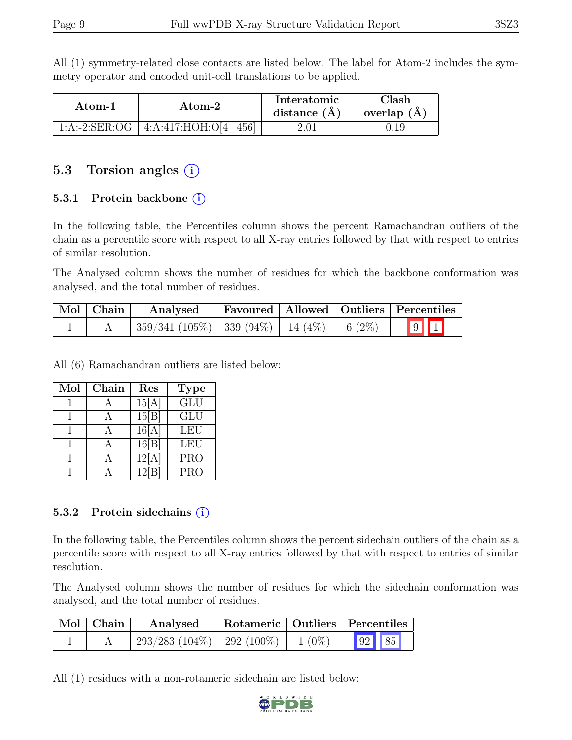All (1) symmetry-related close contacts are listed below. The label for Atom-2 includes the symmetry operator and encoded unit-cell translations to be applied.

| Atom-1 | Atom-2                               | Interatomic<br>distance $(\AA)$ | Clash<br>overlap $(A)$ |
|--------|--------------------------------------|---------------------------------|------------------------|
|        | 1:A:-2:SER:OG   4:A:417:HOH:O[4 456] | 2.01                            |                        |

### 5.3 Torsion angles  $(i)$

#### 5.3.1 Protein backbone  $(i)$

In the following table, the Percentiles column shows the percent Ramachandran outliers of the chain as a percentile score with respect to all X-ray entries followed by that with respect to entries of similar resolution.

The Analysed column shows the number of residues for which the backbone conformation was analysed, and the total number of residues.

| $\vert$ Mol $\vert$ Chain $\vert$ | Analysed                                            |  | Favoured   Allowed   Outliers   Percentiles |
|-----------------------------------|-----------------------------------------------------|--|---------------------------------------------|
|                                   | $359/341$ (105\%)   339 (94\%)   14 (4\%)   6 (2\%) |  | 9                                           |

All (6) Ramachandran outliers are listed below:

| Mol | Chain | Res              | <b>Type</b>             |
|-----|-------|------------------|-------------------------|
|     |       | 15[A]            | $\overline{\text{GLU}}$ |
|     |       | $15\overline{B}$ | <b>GLU</b>              |
|     |       | 16[A]            | LEU                     |
|     |       | 16[B]            | <b>LEU</b>              |
|     |       | 12[A]            | <b>PRO</b>              |
|     |       | 12               | <b>PRO</b>              |

#### 5.3.2 Protein sidechains  $(i)$

In the following table, the Percentiles column shows the percent sidechain outliers of the chain as a percentile score with respect to all X-ray entries followed by that with respect to entries of similar resolution.

The Analysed column shows the number of residues for which the sidechain conformation was analysed, and the total number of residues.

| Mol   Chain | Analysed                        |          | Rotameric   Outliers   Percentiles |       |
|-------------|---------------------------------|----------|------------------------------------|-------|
|             | $293/283$ (104\%)   292 (100\%) | $1(0\%)$ |                                    | 92 85 |

All (1) residues with a non-rotameric sidechain are listed below:

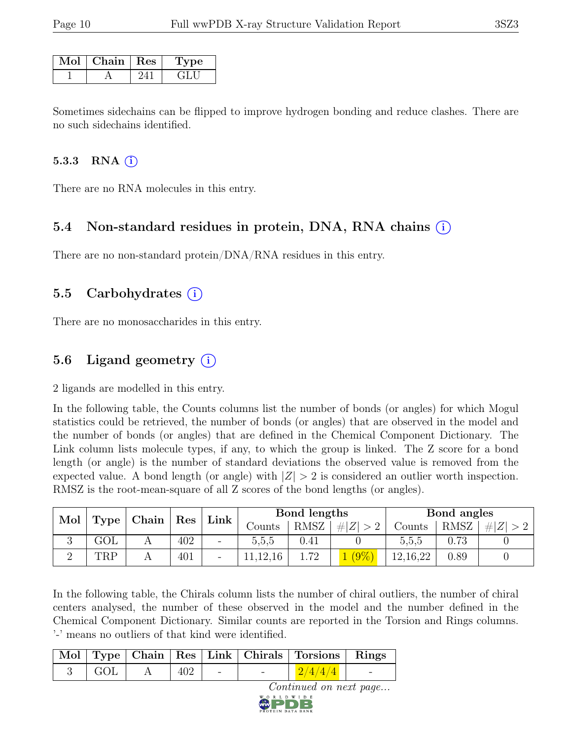| $Mol$   Chain   Res | <b>Type</b> |
|---------------------|-------------|
|                     | GE J        |

Sometimes sidechains can be flipped to improve hydrogen bonding and reduce clashes. There are no such sidechains identified.

#### 5.3.3 RNA  $(i)$

There are no RNA molecules in this entry.

### 5.4 Non-standard residues in protein, DNA, RNA chains (i)

There are no non-standard protein/DNA/RNA residues in this entry.

### 5.5 Carbohydrates (i)

There are no monosaccharides in this entry.

### 5.6 Ligand geometry  $(i)$

2 ligands are modelled in this entry.

In the following table, the Counts columns list the number of bonds (or angles) for which Mogul statistics could be retrieved, the number of bonds (or angles) that are observed in the model and the number of bonds (or angles) that are defined in the Chemical Component Dictionary. The Link column lists molecule types, if any, to which the group is linked. The Z score for a bond length (or angle) is the number of standard deviations the observed value is removed from the expected value. A bond length (or angle) with  $|Z| > 2$  is considered an outlier worth inspection. RMSZ is the root-mean-square of all Z scores of the bond lengths (or angles).

| Mol | $\vert$ Chain $\vert$ Res<br>Type |  | Link | Bond lengths |        |            | Bond angles |            |             |  |
|-----|-----------------------------------|--|------|--------------|--------|------------|-------------|------------|-------------|--|
|     |                                   |  |      |              | Counts | RMSZ       | Z <br>-#    | Counts     | <b>RMSZ</b> |  |
| ۰J  | $\rm GOL$                         |  | 402  | -            | d.d.d  | $\rm 0.41$ |             | b.b.b      | 72          |  |
|     | TRP                               |  | 401  | -            | ,12,16 | 1.72       | $'9\%$      | 12, 16, 22 | 0.89        |  |

In the following table, the Chirals column lists the number of chiral outliers, the number of chiral centers analysed, the number of these observed in the model and the number defined in the Chemical Component Dictionary. Similar counts are reported in the Torsion and Rings columns. '-' means no outliers of that kind were identified.

|     |     |                          |           | Mol   Type   Chain   Res   Link   Chirals   Torsions   Rings |  |
|-----|-----|--------------------------|-----------|--------------------------------------------------------------|--|
| GOL | 402 | $\overline{\phantom{a}}$ |           | 2/4/4/4                                                      |  |
|     |     |                          | WORLDWIDE | Continued on next page                                       |  |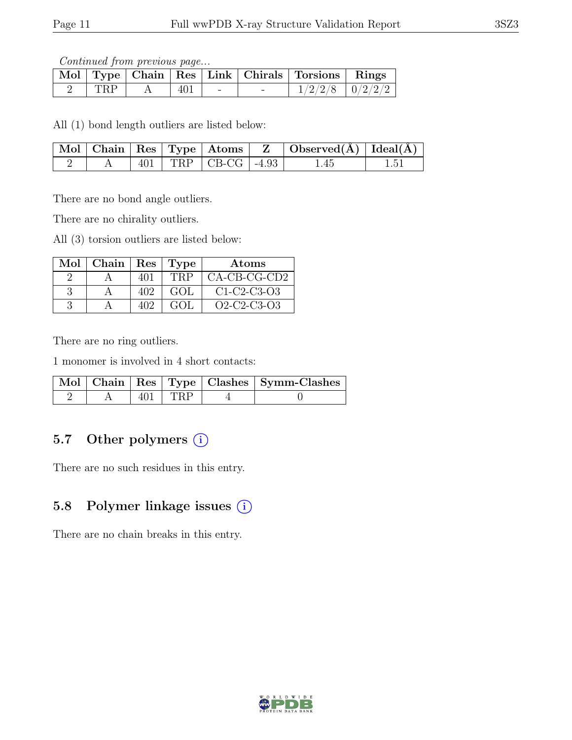Continued from previous page...

|            |     |  | Mol Type   Chain   Res   Link   Chirals   Torsions   Rings |  |
|------------|-----|--|------------------------------------------------------------|--|
| <b>TRP</b> | 401 |  | $1/2/2/8$   $0/2/2/2$                                      |  |

All (1) bond length outliers are listed below:

|  |  |                          | $\mid$ Mol $\mid$ Chain $\mid$ Res $\mid$ Type $\mid$ Atoms $\mid$ Z $\mid$ Observed(A) $\mid$ Ideal(A) $\mid$ |      |
|--|--|--------------------------|----------------------------------------------------------------------------------------------------------------|------|
|  |  | $-401$ TRP CB-CG $-4.93$ | 1.45                                                                                                           | 1.51 |

There are no bond angle outliers.

There are no chirality outliers.

All (3) torsion outliers are listed below:

| $Mol$   Chain   Res   Type |     |      | Atoms                |
|----------------------------|-----|------|----------------------|
|                            | 401 | TRP  | $\vert$ CA-CB-CG-CD2 |
|                            | 402 | GOL. | $C1-C2-C3-O3$        |
|                            | 402 | GOL  | $O2-C2-C3-O3$        |

There are no ring outliers.

1 monomer is involved in 4 short contacts:

|  |           | Mol   Chain   Res   Type   Clashes   Symm-Clashes |
|--|-----------|---------------------------------------------------|
|  | $401$ TRP |                                                   |

### 5.7 Other polymers (i)

There are no such residues in this entry.

### 5.8 Polymer linkage issues  $(i)$

There are no chain breaks in this entry.

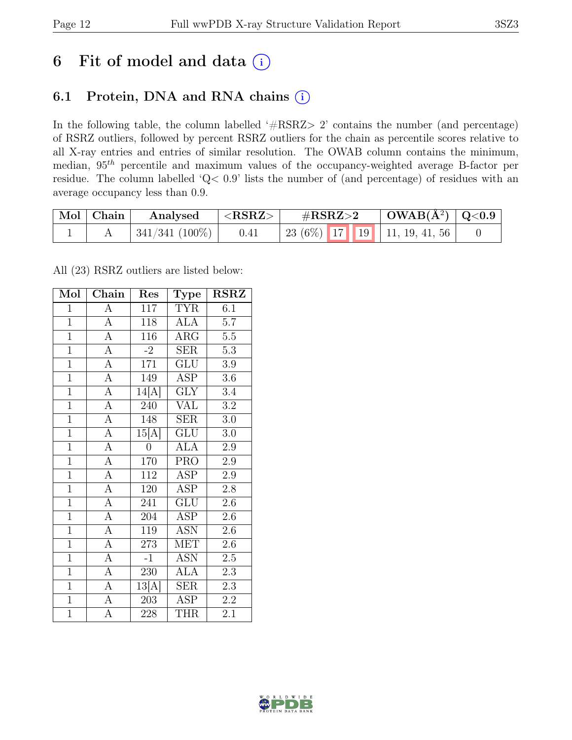## 6 Fit of model and data  $(i)$

## 6.1 Protein, DNA and RNA chains (i)

In the following table, the column labelled ' $\#\text{RSRZ}>2$ ' contains the number (and percentage) of RSRZ outliers, followed by percent RSRZ outliers for the chain as percentile scores relative to all X-ray entries and entries of similar resolution. The OWAB column contains the minimum, median, 95th percentile and maximum values of the occupancy-weighted average B-factor per residue. The column labelled 'Q< 0.9' lists the number of (and percentage) of residues with an average occupancy less than 0.9.

| Mol   Chain | Analysed       | ${ <\hspace{-1.5pt} \mathrm{RSRZ}\hspace{-1.5pt}>}$ | $\#\text{RSRZ}\text{>2}$                   | $\vert$ OWAB(Å <sup>2</sup> ) $\vert$ Q<0.9 |  |
|-------------|----------------|-----------------------------------------------------|--------------------------------------------|---------------------------------------------|--|
|             | 341/341 (100%) | 0.41                                                | 23 (6%)   17   19   11, 19, 41, 56 $\vert$ |                                             |  |

All (23) RSRZ outliers are listed below:

| Mol            | $\overline{\text{Chain}}$ | Res              | ${\rm \bf Type}$        | <b>RSRZ</b>      |
|----------------|---------------------------|------------------|-------------------------|------------------|
| $\mathbf{1}$   | $\mathbf{A}$              | 117              | <b>TYR</b>              | 6.1              |
| $\overline{1}$ | $\overline{A}$            | 118              | $\overline{\text{ALA}}$ | 5.7              |
| $\overline{1}$ | $\overline{A}$            | 116              | $\overline{\text{ARG}}$ | $\overline{5.5}$ |
| $\overline{1}$ | $\overline{A}$            | $-2$             | <b>SER</b>              | $5.3\,$          |
| $\overline{1}$ | $\overline{A}$            | $\overline{171}$ | $\overline{\text{GLU}}$ | $\overline{3.9}$ |
| $\overline{1}$ | $\overline{A}$            | 149              | <b>ASP</b>              | $3.6\,$          |
| $\mathbf{1}$   | $\overline{A}$            | 14[A]            | <b>GLY</b>              | 3.4              |
| $\overline{1}$ | $\overline{A}$            | 240              | <b>VAL</b>              | 3.2              |
| $\overline{1}$ | $\overline{A}$            | 148              | <b>SER</b>              | 3.0              |
| $\overline{1}$ | $\overline{A}$            | 15[A]            | $\overline{\text{GLU}}$ | $\overline{3.0}$ |
| $\overline{1}$ | $\overline{A}$            | $\overline{0}$   | <b>ALA</b>              | 2.9              |
| $\overline{1}$ | $\overline{A}$            | 170              | $\overline{\text{PRO}}$ | $2.9\,$          |
| $\overline{1}$ | $\overline{A}$            | 112              | <b>ASP</b>              | 2.9              |
| $\overline{1}$ | $\overline{A}$            | 120              | <b>ASP</b>              | 2.8              |
| $\overline{1}$ | $\overline{A}$            | 241              | $\overline{\text{GLU}}$ | $2.6\,$          |
| $\overline{1}$ | $\overline{A}$            | 204              | <b>ASP</b>              | 2.6              |
| $\overline{1}$ | $\overline{A}$            | 119              | $\overline{\text{ASN}}$ | $\overline{2.6}$ |
| $\overline{1}$ | $\overline{A}$            | 273              | <b>MET</b>              | 2.6              |
| $\overline{1}$ | $\overline{A}$            | $-1$             | <b>ASN</b>              | $2.5\,$          |
| $\overline{1}$ | $\overline{A}$            | $\overline{230}$ | <b>ALA</b>              | 2.3              |
| $\overline{1}$ | $\overline{A}$            | 13[A]            | <b>SER</b>              | 2.3              |
| $\overline{1}$ | $\overline{A}$            | $\overline{203}$ | <b>ASP</b>              | $\overline{2.2}$ |
| $\overline{1}$ | $\overline{A}$            | 228              | <b>THR</b>              | 2.1              |